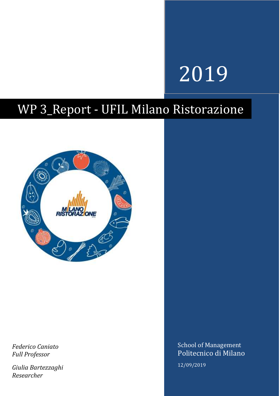# 2019

## WP 3\_Report - UFIL Milano Ristorazione



*Federico Caniato Full Professor*

*Giulia Bartezzaghi Researcher* 

School of Management Politecnico di Milano 12/09/2019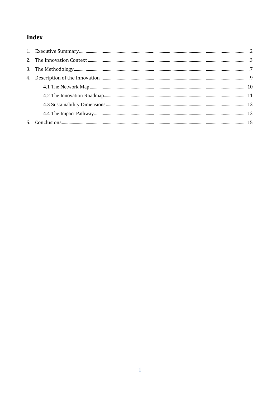### Index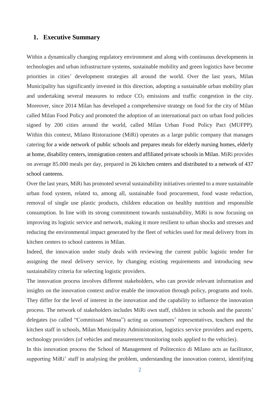#### <span id="page-2-0"></span>**1. Executive Summary**

Within a dynamically changing regulatory environment and along with continuous developments in technologies and urban infrastructure systems, sustainable mobility and green logistics have become priorities in cities' development strategies all around the world. Over the last years, Milan Municipality has significantly invested in this direction, adopting a sustainable urban mobility plan and undertaking several measures to reduce  $CO<sub>2</sub>$  emissions and traffic congestion in the city. Moreover, since 2014 Milan has developed a comprehensive strategy on food for the city of Milan called Milan Food Policy and promoted the adoption of an international pact on urban food policies signed by 200 cities around the world, called Milan Urban Food Policy Pact (MUFPP). Within this context, Milano Ristorazione (MiRi) operates as a large public company that manages catering for a wide network of public schools and prepares meals for elderly nursing homes, elderly at home, disability centers, immigration centers and affiliated private schools in Milan. MiRi provides on average 85.000 meals per day, prepared in 26 kitchen centers and distributed to a network of 437 school canteens.

Over the last years, MiRi has promoted several sustainability initiatives oriented to a more sustainable urban food system, related to, among all, sustainable food procurement, food waste reduction, removal of single use plastic products, children education on healthy nutrition and responsible consumption. In line with its strong commitment towards sustainability, MiRi is now focusing on improving its logistic service and network, making it more resilient to urban shocks and stresses and reducing the environmental impact generated by the fleet of vehicles used for meal delivery from its kitchen centers to school canteens in Milan.

Indeed, the innovation under study deals with reviewing the current public logistic tender for assigning the meal delivery service, by changing existing requirements and introducing new sustainability criteria for selecting logistic providers.

The innovation process involves different stakeholders, who can provide relevant information and insights on the innovation context and/or enable the innovation through policy, programs and tools. They differ for the level of interest in the innovation and the capability to influence the innovation process. The network of stakeholders includes MiRi own staff, children in schools and the parents' delegates (so called "Commissari Mensa") acting as consumers' representatives, teachers and the kitchen staff in schools, Milan Municipality Administration, logistics service providers and experts, technology providers (of vehicles and measurement/monitoring tools applied to the vehicles).

In this innovation process the School of Management of Politecnico di Milano acts as facilitator, supporting MiRi' staff in analysing the problem, understanding the innovation context, identifying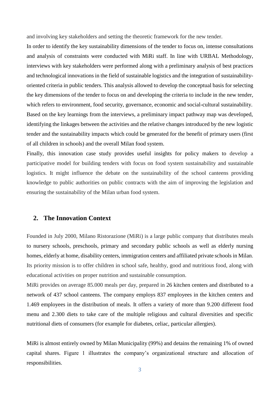and involving key stakeholders and setting the theoretic framework for the new tender.

In order to identify the key sustainability dimensions of the tender to focus on, intense consultations and analysis of constraints were conducted with MiRi staff. In line with URBAL Methodology, interviews with key stakeholders were performed along with a preliminary analysis of best practices and technological innovations in the field of sustainable logistics and the integration of sustainabilityoriented criteria in public tenders. This analysis allowed to develop the conceptual basis for selecting the key dimensions of the tender to focus on and developing the criteria to include in the new tender, which refers to environment, food security, governance, economic and social-cultural sustainability. Based on the key learnings from the interviews, a preliminary impact pathway map was developed, identifying the linkages between the activities and the relative changes introduced by the new logistic tender and the sustainability impacts which could be generated for the benefit of primary users (first of all children in schools) and the overall Milan food system.

Finally, this innovation case study provides useful insights for policy makers to develop a participative model for building tenders with focus on food system sustainability and sustainable logistics. It might influence the debate on the sustainability of the school canteens providing knowledge to public authorities on public contracts with the aim of improving the legislation and ensuring the sustainability of the Milan urban food system.

#### <span id="page-3-0"></span>**2. The Innovation Context**

Founded in July 2000, Milano Ristorazione (MiRi) is a large public company that distributes meals to nursery schools, preschools, primary and secondary public schools as well as elderly nursing homes, elderly at home, disability centers, immigration centers and affiliated private schools in Milan. Its priority mission is to offer children in school safe, healthy, good and nutritious food, along with educational activities on proper nutrition and sustainable consumption.

MiRi provides on average 85.000 meals per day, prepared in 26 kitchen centers and distributed to a network of 437 school canteens. The company employs 837 employees in the kitchen centers and 1.469 employees in the distribution of meals. It offers a variety of more than 9.200 different food menu and 2.300 diets to take care of the multiple religious and cultural diversities and specific nutritional diets of consumers (for example for diabetes, celiac, particular allergies).

MiRi is almost entirely owned by Milan Municipality (99%) and detains the remaining 1% of owned capital shares. Figure 1 illustrates the company's organizational structure and allocation of responsibilities.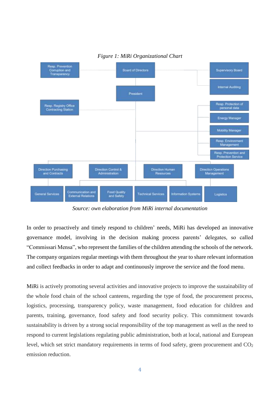

#### *Figure 1: MiRi Organizational Chart*

*Source: own elaboration from MiRi internal documentation*

In order to proactively and timely respond to children' needs, MiRi has developed an innovative governance model, involving in the decision making process parents' delegates, so called "Commissari Mensa", who represent the families of the children attending the schools of the network. The company organizes regular meetings with them throughout the year to share relevant information and collect feedbacks in order to adapt and continuously improve the service and the food menu.

MiRi is actively promoting several activities and innovative projects to improve the sustainability of the whole food chain of the school canteens, regarding the type of food, the procurement process, logistics, processing, transparency policy, waste management, food education for children and parents, training, governance, food safety and food security policy. This commitment towards sustainability is driven by a strong social responsibility of the top management as well as the need to respond to current legislations regulating public administration, both at local, national and European level, which set strict mandatory requirements in terms of food safety, green procurement and  $CO<sub>2</sub>$ emission reduction.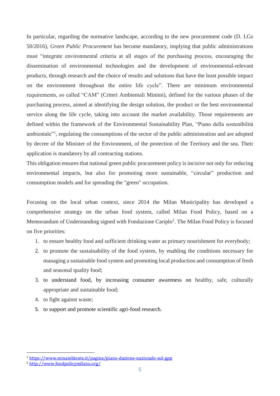In particular, regarding the normative landscape, according to the new procurement code (D. LGs 50/2016), *Green Public Procurement* has become mandatory, implying that public administrations must "integrate environmental criteria at all stages of the purchasing process, encouraging the dissemination of environmental technologies and the development of environmental-relevant products, through research and the choice of results and solutions that have the least possible impact on the environment throughout the entire life cycle". There are minimum environmental requirements, so called "CAM" (Criteri Ambientali Minimi), defined for the various phases of the purchasing process, aimed at identifying the design solution, the product or the best environmental service along the life cycle, taking into account the market availability. Those requirements are defined within the framework of the Environmental Sustainability Plan, "Piano della sostenibilità ambientale"<sup>1</sup>, regulating the consumptions of the sector of the public administration and are adopted by decree of the Minister of the Environment, of the protection of the Territory and the sea. Their application is mandatory by all contracting stations.

This obligation ensures that national green public procurement policy is incisive not only for reducing environmental impacts, but also for promoting more sustainable, "circular" production and consumption models and for spreading the "green" occupation.

Focusing on the local urban context, since 2014 the Milan Municipality has developed a comprehensive strategy on the urban food system, called Milan Food Policy, based on a Memorandum of Understanding signed with Fondazione Cariplo<sup>2</sup>. The Milan Food Policy is focused on five priorities:

- 1. to ensure healthy food and sufficient drinking water as primary nourishment for everybody;
- 2. to promote the sustainability of the food system, by enabling the conditions necessary for managing a sustainable food system and promoting local production and consumption of fresh and seasonal quality food;
- 3. to understand food, by increasing consumer awareness on healthy, safe, culturally appropriate and sustainable food;
- 4. to fight against waste;
- 5. to support and promote scientific agri-food research.

<u>.</u>

<sup>1</sup> <https://www.minambiente.it/pagina/piano-dazione-nazionale-sul-gpp>

<sup>2</sup> <http://www.foodpolicymilano.org/>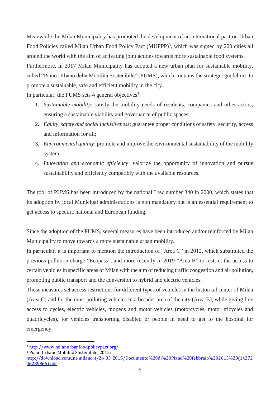Meanwhile the Milan Municipality has promoted the development of an international pact on Urban Food Policies called Milan Urban Food Policy Pact (MUFPP)<sup>3</sup>, which was signed by 200 cities all around the world with the aim of activating joint actions towards more sustainable food systems. Furthermore, in 2017 Milan Municipality has adopted a new urban plan for sustainable mobility, called "Piano Urbano della Mobilità Sostenibile" (PUMS), which contains the strategic guidelines to promote a sustainable, safe and efficient mobility in the city.

In particular, the PUMS sets  $4$  general objectives<sup>4</sup>:

- 1. *Sustainable mobility*: satisfy the mobility needs of residents, companies and other actors, ensuring a sustainable viability and governance of public spaces;
- 2. *Equity, safety and social inclusiveness*: guarantee proper conditions of safety, security, access and information for all;
- 3. *Environmental quality*: promote and improve the environmental sustainability of the mobility system;
- 4. *Innovation and economic efficiency*: valorize the opportunity of innovation and pursue sustainability and efficiency compatibly with the available resources.

The tool of PUMS has been introduced by the national Law number 340 in 2000, which states that its adoption by local Municipal administrations is non mandatory but is an essential requirement to get access to specific national and European funding.

Since the adoption of the PUMS, several measures have been introduced and/or reinforced by Milan Municipality to move towards a more sustainable urban mobility.

In particular, it is important to mention the introduction of "Area C" in 2012, which substituted the previous pollution charge "Ecopass", and more recently in 2019 "Area B" to restrict the access to certain vehicles in specific areas of Milan with the aim of reducing traffic congestion and air pollution, promoting public transport and the conversion to hybrid and electric vehicles.

Those measures set access restrictions for different types of vehicles in the historical center of Milan (Area C) and for the most polluting vehicles in a broader area of the city (Area B), while giving free access to cycles, electric vehicles, mopeds and motor vehicles (motorcycles, motor tricycles and quadricycles), for vehicles transporting disabled or people in need to get to the hospital for emergency.

<sup>4</sup> Piano Urbano Mobilità Sostenibile, 2015:

<u>.</u>

<sup>3</sup> <http://www.milanurbanfoodpolicypact.org/>

[http://download.comune.milano.it/24\\_03\\_2015/Documento%20di%20Piano%20febbraio%202015%20\(14272](http://download.comune.milano.it/24_03_2015/Documento%20di%20Piano%20febbraio%202015%20(1427206289866).pdf) [06289866\).pdf](http://download.comune.milano.it/24_03_2015/Documento%20di%20Piano%20febbraio%202015%20(1427206289866).pdf)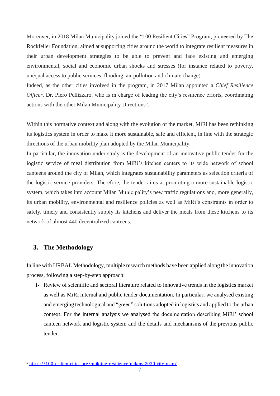Moreover, in 2018 Milan Municipality joined the "100 Resilient Cities" Program, pioneered by The Rockfeller Foundation, aimed at supporting cities around the world to integrate resilient measures in their urban development strategies to be able to prevent and face existing and emerging environmental, social and economic urban shocks and stresses (for instance related to poverty, unequal access to public services, flooding, air pollution and climate change).

Indeed, as the other cities involved in the program, in 2017 Milan appointed a *Chief Resilience Officer*, Dr. Piero Pellizzaro, who is in charge of leading the city's resilience efforts, coordinating actions with the other Milan Municipality Directions<sup>5</sup>.

Within this normative context and along with the evolution of the market, MiRi has been rethinking its logistics system in order to make it more sustainable, safe and efficient, in line with the strategic directions of the urban mobility plan adopted by the Milan Municipality.

In particular, the innovation under study is the development of an innovative public tender for the logistic service of meal distribution from MiRi's kitchen centers to its wide network of school canteens around the city of Milan, which integrates sustainability parameters as selection criteria of the logistic service providers. Therefore, the tender aims at promoting a more sustainable logistic system, which takes into account Milan Municipality's new traffic regulations and, more generally, its urban mobility, environmental and resilience policies as well as MiRi's constraints in order to safely, timely and consistently supply its kitchens and deliver the meals from these kitchens to its network of almost 440 decentralized canteens.

#### <span id="page-7-0"></span>**3. The Methodology**

<u>.</u>

In line with URBAL Methodology, multiple research methods have been applied along the innovation process, following a step-by-step approach:

1- Review of scientific and sectoral literature related to innovative trends in the logistics market as well as MiRi internal and public tender documentation. In particular, we analysed existing and emerging technological and "green" solutions adopted in logistics and applied to the urban context. For the internal analysis we analysed the documentation describing MiRi' school canteen network and logistic system and the details and mechanisms of the previous public tender.

<sup>5</sup> <https://100resilientcities.org/building-resilience-milans-2030-city-plan/>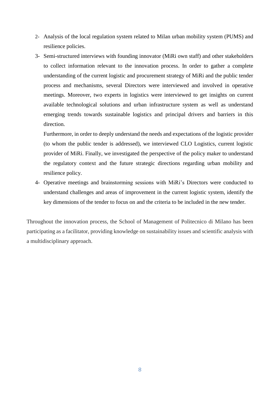- 2- Analysis of the local regulation system related to Milan urban mobility system (PUMS) and resilience policies.
- 3- Semi-structured interviews with founding innovator (MiRi own staff) and other stakeholders to collect information relevant to the innovation process. In order to gather a complete understanding of the current logistic and procurement strategy of MiRi and the public tender process and mechanisms, several Directors were interviewed and involved in operative meetings. Moreover, two experts in logistics were interviewed to get insights on current available technological solutions and urban infrastructure system as well as understand emerging trends towards sustainable logistics and principal drivers and barriers in this direction.

Furthermore, in order to deeply understand the needs and expectations of the logistic provider (to whom the public tender is addressed), we interviewed CLO Logistics, current logistic provider of MiRi. Finally, we investigated the perspective of the policy maker to understand the regulatory context and the future strategic directions regarding urban mobility and resilience policy.

4- Operative meetings and brainstorming sessions with MiRi's Directors were conducted to understand challenges and areas of improvement in the current logistic system, identify the key dimensions of the tender to focus on and the criteria to be included in the new tender.

Throughout the innovation process, the School of Management of Politecnico di Milano has been participating as a facilitator, providing knowledge on sustainability issues and scientific analysis with a multidisciplinary approach.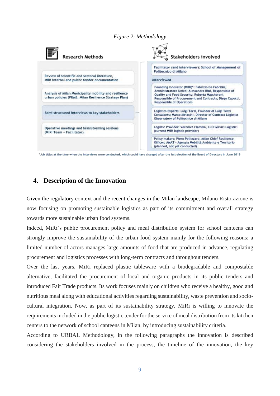#### *Figure 2: Methodology*



\*Job titles at the time when the interviews were conducted, which could have changed after the last election of the Board of Directors in June 2019

#### <span id="page-9-0"></span>**4. Description of the Innovation**

Given the regulatory context and the recent changes in the Milan landscape, Milano Ristorazione is now focusing on promoting sustainable logistics as part of its commitment and overall strategy towards more sustainable urban food systems.

Indeed, MiRi's public procurement policy and meal distribution system for school canteens can strongly improve the sustainability of the urban food system mainly for the following reasons: a limited number of actors manages large amounts of food that are produced in advance, regulating procurement and logistics processes with long-term contracts and throughout tenders.

Over the last years, MiRi replaced plastic tableware with a biodegradable and compostable alternative, facilitated the procurement of local and organic products in its public tenders and introduced Fair Trade products. Its work focuses mainly on children who receive a healthy, good and nutritious meal along with educational activities regarding sustainability, waste prevention and sociocultural integration. Now, as part of its sustainability strategy, MiRi is willing to innovate the requirements included in the public logistic tender for the service of meal distribution from its kitchen centers to the network of school canteens in Milan, by introducing sustainability criteria.

According to URBAL Methodology, in the following paragraphs the innovation is described considering the stakeholders involved in the process, the timeline of the innovation, the key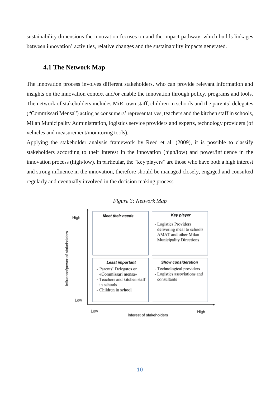sustainability dimensions the innovation focuses on and the impact pathway, which builds linkages between innovation' activities, relative changes and the sustainability impacts generated.

#### <span id="page-10-0"></span>**4.1 The Network Map**

The innovation process involves different stakeholders, who can provide relevant information and insights on the innovation context and/or enable the innovation through policy, programs and tools. The network of stakeholders includes MiRi own staff, children in schools and the parents' delegates ("Commissari Mensa") acting as consumers' representatives, teachers and the kitchen staff in schools, Milan Municipality Administration, logistics service providers and experts, technology providers (of vehicles and measurement/monitoring tools).

Applying the stakeholder analysis framework by Reed et al. (2009), it is possible to classify stakeholders according to their interest in the innovation (high/low) and power/influence in the innovation process (high/low). In particular, the "key players" are those who have both a high interest and strong influence in the innovation, therefore should be managed closely, engaged and consulted regularly and eventually involved in the decision making process.



#### *Figure 3: Network Map*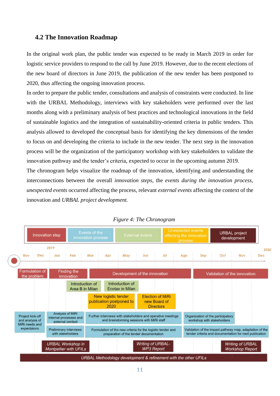#### <span id="page-11-0"></span>**4.2 The Innovation Roadmap**

In the original work plan, the public tender was expected to be ready in March 2019 in order for logistic service providers to respond to the call by June 2019. However, due to the recent elections of the new board of directors in June 2019, the publication of the new tender has been postponed to 2020, thus affecting the ongoing innovation process.

In order to prepare the public tender, consultations and analysis of constraints were conducted. In line with the URBAL Methodology, interviews with key stakeholders were performed over the last months along with a preliminary analysis of best practices and technological innovations in the field of sustainable logistics and the integration of sustainability-oriented criteria in public tenders. This analysis allowed to developed the conceptual basis for identifying the key dimensions of the tender to focus on and developing the criteria to include in the new tender. The next step in the innovation process will be the organization of the participatory workshop with key stakeholders to validate the innovation pathway and the tender's criteria, expected to occur in the upcoming autumn 2019.

The chronogram helps visualize the roadmap of the innovation, identifying and understanding the interconnections between the overall *innovation steps*, the *events during the innovation process*, *unexpected events* occurred affecting the process, relevant *external events* affecting the context of the innovation and *URBAL project development.*



*Figure 4: The Chronogram*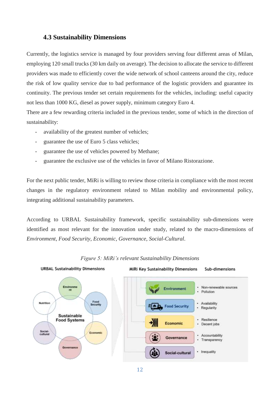#### <span id="page-12-0"></span>**4.3 Sustainability Dimensions**

Currently, the logistics service is managed by four providers serving four different areas of Milan, employing 120 small trucks (30 km daily on average). The decision to allocate the service to different providers was made to efficiently cover the wide network of school canteens around the city, reduce the risk of low quality service due to bad performance of the logistic providers and guarantee its continuity. The previous tender set certain requirements for the vehicles, including: useful capacity not less than 1000 KG, diesel as power supply, minimum category Euro 4.

There are a few rewarding criteria included in the previous tender, some of which in the direction of sustainability:

- *-* availability of the greatest number of vehicles;
- *-* guarantee the use of Euro 5 class vehicles;
- *-* guarantee the use of vehicles powered by Methane;
- *-* guarantee the exclusive use of the vehicles in favor of Milano Ristorazione.

For the next public tender, MiRi is willing to review those criteria in compliance with the most recent changes in the regulatory environment related to Milan mobility and environmental policy, integrating additional sustainability parameters.

According to URBAL Sustainability framework, specific sustainability sub-dimensions were identified as most relevant for the innovation under study, related to the macro-dimensions of *Environment*, *Food Security*, *Economic, Governance*, *Social-Cultural*.



#### *Figure 5: MiRi's relevant Sustainability Dimensions*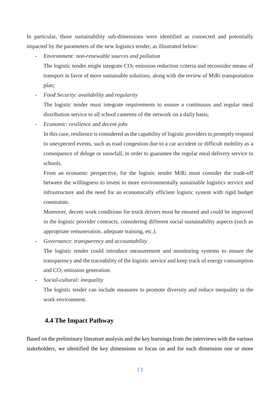In particular, those sustainability sub-dimensions were identified as connected and potentially impacted by the parameters of the new logistics tender, as illustrated below:

- *- Environment: non-renewable sources and pollution*
	- The logistic tender might integrate  $CO<sub>2</sub>$  emission reduction criteria and reconsider means of transport in favor of more sustainable solutions, along with the review of MiRi transportation plan;
- *- Food Security*: *availability* and *regularity*

The logistic tender must integrate requirements to ensure a continuous and regular meal distribution service to all school canteens of the network on a daily basis;

*- Economic*: *resilience* and *decent jobs*

In this case, resilience is considered as the capability of logistic providers to promptly respond to unexpected events, such as road congestion due to a car accident or difficult mobility as a consequence of deluge or snowfall, in order to guarantee the regular meal delivery service to schools.

From an economic perspective, for the logistic tender MiRi must consider the trade-off between the willingness to invest in more environmentally sustainable logistics service and infrastructure and the need for an economically efficient logistic system with rigid budget constraints.

Moreover, decent work conditions for truck drivers must be ensured and could be improved in the logistic provider contracts, considering different social sustainability aspects (such as appropriate remuneration, adequate training, etc.).

*- Governance*: *transparency* and *accountability*

The logistic tender could introduce measurement and monitoring systems to ensure the transparency and the traceability of the logistic service and keep track of energy consumption and CO<sup>2</sup> emission generation.

*- Social-cultural: inequality*

The logistic tender can include measures to promote diversity and reduce inequality in the work environment.

#### <span id="page-13-0"></span>**4.4 The Impact Pathway**

Based on the preliminary literature analysis and the key learnings from the interviews with the various stakeholders, we identified the key dimensions to focus on and for each dimension one or more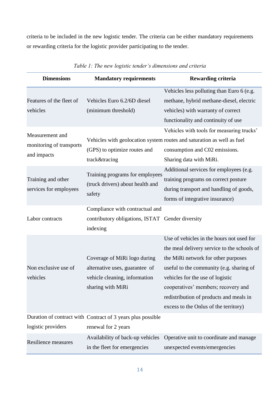criteria to be included in the new logistic tender. The criteria can be either mandatory requirements or rewarding criteria for the logistic provider participating to the tender.

| <b>Dimensions</b>          | <b>Mandatory requirements</b>                                                 | <b>Rewarding criteria</b>                                              |
|----------------------------|-------------------------------------------------------------------------------|------------------------------------------------------------------------|
|                            |                                                                               | Vehicles less polluting than Euro 6 (e.g.                              |
| Features of the fleet of   | Vehicles Euro 6.2/6D diesel                                                   | methane, hybrid methane-diesel, electric                               |
| vehicles                   | (minimum threshold)                                                           | vehicles) with warranty of correct                                     |
|                            |                                                                               | functionality and continuity of use                                    |
|                            |                                                                               | Vehicles with tools for measuring trucks'                              |
| Measurement and            |                                                                               | Vehicles with geolocation system routes and saturation as well as fuel |
| monitoring of transports   | (GPS) to optimize routes and                                                  | consumption and C02 emissions.                                         |
| and impacts                | track&tracing                                                                 | Sharing data with MiRi.                                                |
|                            | Training programs for employees<br>(truck drivers) about health and<br>safety | Additional services for employees (e.g.                                |
| Training and other         |                                                                               | training programs on correct posture                                   |
| services for employees     |                                                                               | during transport and handling of goods,                                |
|                            |                                                                               | forms of integrative insurance)                                        |
|                            | Compliance with contractual and                                               |                                                                        |
| Labor contracts            | contributory obligations, ISTAT Gender diversity                              |                                                                        |
|                            | indexing                                                                      |                                                                        |
|                            |                                                                               | Use of vehicles in the hours not used for                              |
|                            |                                                                               | the meal delivery service to the schools of                            |
|                            | Coverage of MiRi logo during                                                  | the MiRi network for other purposes                                    |
| Non exclusive use of       | alternative uses, guarantee of                                                | useful to the community (e.g. sharing of                               |
| vehicles                   | vehicle cleaning, information                                                 | vehicles for the use of logistic                                       |
|                            | sharing with MiRi                                                             | cooperatives' members; recovery and                                    |
|                            |                                                                               | redistribution of products and meals in                                |
|                            |                                                                               | excess to the Onlus of the territory)                                  |
|                            | Duration of contract with Contract of 3 years plus possible                   |                                                                        |
| logistic providers         | renewal for 2 years                                                           |                                                                        |
| <b>Resilience measures</b> | Availability of back-up vehicles                                              | Operative unit to coordinate and manage                                |
|                            | in the fleet for emergencies                                                  | unexpected events/emergencies                                          |

*Table 1: The new logistic tender's dimensions and criteria*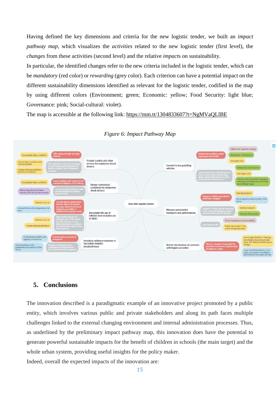Having defined the key dimensions and criteria for the new logistic tender, we built an *impact pathway map*, which visualizes the *activities* related to the new logistic tender (first level), the *changes* from these activities (second level) and the relative *impact*s on sustainability.

In particular, the identified changes refer to the new criteria included in the logistic tender, which can be *mandatory* (red color) or *rewarding* (grey color). Each criterion can have a potential impact on the different sustainability dimensions identified as relevant for the logistic tender, codified in the map by using different colors (Environment; green; Economic: yellow; Food Security: light blue; Governance: pink; Social-cultural: violet).

The map is accessible at the following link:<https://mm.tt/1304833607?t=NgMVaQLlBE>



#### *Figure 6: Impact Pathway Map*

#### <span id="page-15-0"></span>**5. Conclusions**

The innovation described is a paradigmatic example of an innovative project promoted by a public entity, which involves various public and private stakeholders and along its path faces multiple challenges linked to the external changing environment and internal administration processes. Thus, as underlined by the preliminary impact pathway map, this innovation does have the potential to generate powerful sustainable impacts for the benefit of children in schools (the main target) and the whole urban system, providing useful insights for the policy maker.

Indeed, overall the expected impacts of the innovation are: